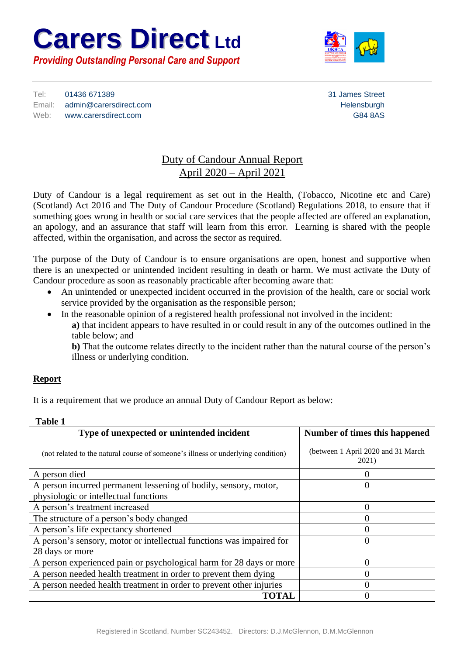# **Carers Direct Ltd** *Providing Outstanding Personal Care and Support*



Tel: 01436 671389 31 James Street Email: admin@carersdirect.com example and the entries of the Helensburgh Helensburgh Web: www.carersdirect.com example and the contract of the contract of the G84 8AS

## Duty of Candour Annual Report April 2020 – April 2021

Duty of Candour is a legal requirement as set out in the Health, (Tobacco, Nicotine etc and Care) (Scotland) Act 2016 and The Duty of Candour Procedure (Scotland) Regulations 2018, to ensure that if something goes wrong in health or social care services that the people affected are offered an explanation, an apology, and an assurance that staff will learn from this error. Learning is shared with the people affected, within the organisation, and across the sector as required.

The purpose of the Duty of Candour is to ensure organisations are open, honest and supportive when there is an unexpected or unintended incident resulting in death or harm. We must activate the Duty of Candour procedure as soon as reasonably practicable after becoming aware that:

- An unintended or unexpected incident occurred in the provision of the health, care or social work service provided by the organisation as the responsible person;
- In the reasonable opinion of a registered health professional not involved in the incident:

**a)** that incident appears to have resulted in or could result in any of the outcomes outlined in the table below; and

**b**) That the outcome relates directly to the incident rather than the natural course of the person's illness or underlying condition.

#### **Report**

It is a requirement that we produce an annual Duty of Candour Report as below:

| <b>Table 1</b>                                                                   |                                             |
|----------------------------------------------------------------------------------|---------------------------------------------|
| Type of unexpected or unintended incident                                        | Number of times this happened               |
| (not related to the natural course of someone's illness or underlying condition) | (between 1 April 2020 and 31 March<br>2021) |
| A person died                                                                    |                                             |
| A person incurred permanent lessening of bodily, sensory, motor,                 | 0                                           |
| physiologic or intellectual functions                                            |                                             |
| A person's treatment increased                                                   | 0                                           |
| The structure of a person's body changed                                         | 0                                           |
| A person's life expectancy shortened                                             |                                             |
| A person's sensory, motor or intellectual functions was impaired for             | 0                                           |
| 28 days or more                                                                  |                                             |
| A person experienced pain or psychological harm for 28 days or more              | 0                                           |
| A person needed health treatment in order to prevent them dying                  | ( )                                         |
| A person needed health treatment in order to prevent other injuries              | 0                                           |
| <b>TOTAL</b>                                                                     |                                             |